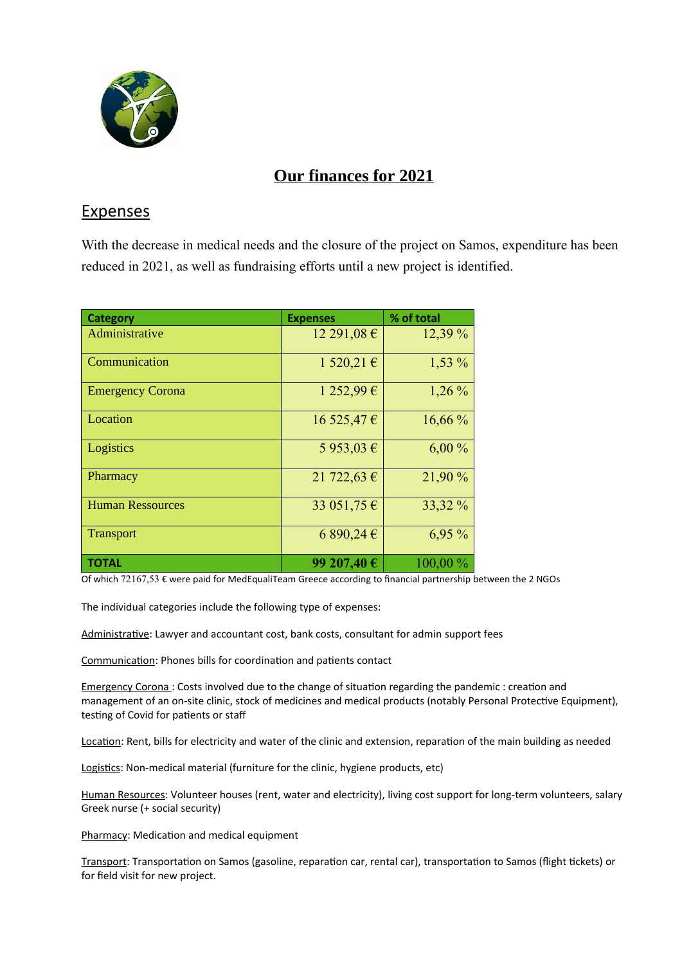

## **Our finances for 2021**

## Expenses

With the decrease in medical needs and the closure of the project on Samos, expenditure has been reduced in 2021, as well as fundraising efforts until a new project is identified.

| <b>Category</b>         | <b>Expenses</b> | % of total |
|-------------------------|-----------------|------------|
| Administrative          | 12 291,08 €     | 12,39 %    |
| Communication           | 1520,21€        | 1,53 %     |
| <b>Emergency Corona</b> | 1 252,99 €      | $1,26\%$   |
| Location                | $16\,525,47$ €  | 16,66%     |
| Logistics               | 5 953,03 €      | 6,00%      |
| Pharmacy                | 21 722,63 €     | 21,90 %    |
| <b>Human Ressources</b> | 33 051,75 €     | 33,32 %    |
| <b>Transport</b>        | 6 890,24 €      | 6,95 %     |
| <b>TOTAL</b>            | 99 207,40 €     | 100,00 %   |

Of which 72167,53 € were paid for MedEqualiTeam Greece according to financial partnership between the 2 NGOs

The individual categories include the following type of expenses:

Administrative: Lawyer and accountant cost, bank costs, consultant for admin support fees

Communication: Phones bills for coordination and patients contact

Emergency Corona : Costs involved due to the change of situation regarding the pandemic : creation and management of an on-site clinic, stock of medicines and medical products (notably Personal Protective Equipment), testing of Covid for patients or staff

Location: Rent, bills for electricity and water of the clinic and extension, reparation of the main building as needed

Logistics: Non-medical material (furniture for the clinic, hygiene products, etc)

Human Resources: Volunteer houses (rent, water and electricity), living cost support for long-term volunteers, salary Greek nurse (+ social security)

Pharmacy: Medication and medical equipment

Transport: Transportation on Samos (gasoline, reparation car, rental car), transportation to Samos (flight tickets) or for field visit for new project.